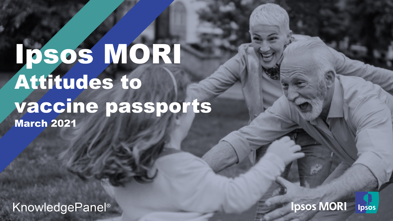## Ipsos MORI Attitudes to vaccine passports March 2021

KnowledgePanel<sup>®</sup>

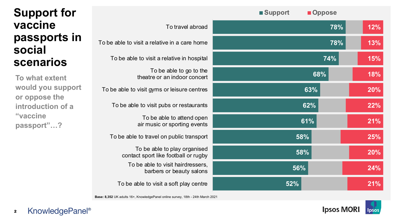#### **Support for vaccine passports in social scenarios**

**To what extent would you support or oppose the introduction of a "vaccine passport"…?**

| To travel abroad                                                     |
|----------------------------------------------------------------------|
| To be able to visit a relative in a care home                        |
| To be able to visit a relative in hospital                           |
| To be able to go to the<br>theatre or an indoor concert              |
| To be able to visit gyms or leisure centres                          |
| To be able to visit pubs or restaurants                              |
| To be able to attend open<br>air music or sporting events            |
| To be able to travel on public transport                             |
| To be able to play organised<br>contact sport like football or rugby |
| To be able to visit hairdressers,<br>barbers or beauty salons        |
| To be able to visit a soft play centre                               |
|                                                                      |

**Base: 8,352** UK adults 16+, KnowledgePanel online survey, 18th - 24th March 2021

| ■ Support | <b>Oppose</b> |     |     |
|-----------|---------------|-----|-----|
|           |               | 78% | 12% |
|           |               | 78% | 13% |
|           |               | 74% | 15% |
|           | 68%           |     | 18% |
|           | 63%           |     | 20% |
|           | 62%           |     | 22% |
|           | 61%           |     | 21% |
|           | 58%           |     | 25% |
|           | 58%           |     | 20% |
| 56%       |               |     | 24% |
| 52%       |               |     | 21% |

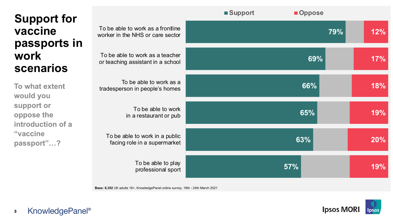| <b>Support for</b><br>vaccine<br>passports in<br>work<br>scenarios                                     |                                                                       | ■ Support<br><b>Oppose</b> |            |
|--------------------------------------------------------------------------------------------------------|-----------------------------------------------------------------------|----------------------------|------------|
|                                                                                                        | To be able to work as a frontline<br>worker in the NHS or care sector |                            | 12%<br>79% |
|                                                                                                        | To be able to work as a teacher<br>or teaching assistant in a school  |                            | 69%<br>17% |
| To what extent<br>would you<br>support or<br>oppose the<br>introduction of a<br>"vaccine<br>passport"? | To be able to work as a<br>tradesperson in people's homes             | 66%                        | 18%        |
|                                                                                                        | To be able to work<br>in a restaurant or pub                          | 65%                        | 19%        |
|                                                                                                        | To be able to work in a public<br>facing role in a supermarket        | 63%                        | 20%        |
|                                                                                                        | To be able to play<br>professional sport                              | 57%                        | 19%        |

**Base: 8,352** UK adults 16+, KnowledgePanel online survey, 18th - 24th March 2021

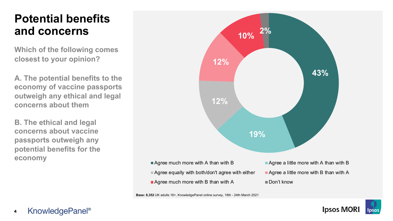#### **Potential benefits and concerns**

**Which of the following comes closest to your opinion?**

**A. The potential benefits to the economy of vaccine passports outweigh any ethical and legal concerns about them**

**B. The ethical and legal concerns about vaccine passports outweigh any potential benefits for the economy**



**Base: 8,352** UK adults 16+, KnowledgePanel online survey, 18th - 24th March 2021

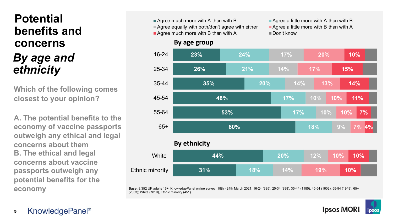### **Potential benefits and concerns** *By age and ethnicity*

**Which of the following comes closest to your opinion?**

**A. The potential benefits to the economy of vaccine passports outweigh any ethical and legal concerns about them B. The ethical and legal concerns about vaccine passports outweigh any potential benefits for the** 

Agree much more with A than with B  $\blacksquare$  Agree a little more with A than with B Agree equally with both/don't agree with either  $\blacksquare$  Agree a little more with B than with A Agree much more with B than with A Don't know



**economy Base:** 8,352 UK adults 16+, KnowledgePanel online survey, 18th - 24th March 2021, 16-24 (385), 25-34 (898), 35-44 (1185), 45-54 (1602), 55-94 (1949), 65+<br>(2003), White (7040), Ethnis ministric (454) (2333); White (7819), Ethnic minority (451)



**KnowledgePanel**<sup>®</sup> 5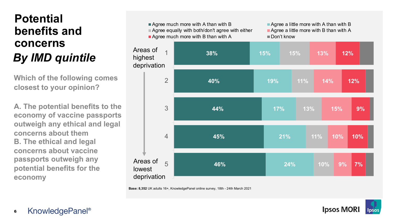## **Potential benefits and concerns** *By IMD quintile*

**Which of the following comes closest to your opinion?**

**A. The potential benefits to the economy of vaccine passports outweigh any ethical and legal concerns about them B. The ethical and legal concerns about vaccine passports outweigh any potential benefits for the economy**



**Base: 8,352** UK adults 16+, KnowledgePanel online survey, 18th - 24th March 2021

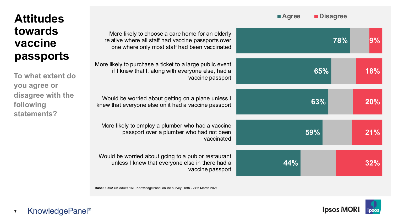| <b>Attitudes</b>                               |                                                                                                                                                          | <b>Agree</b> | <b>Disagree</b> |
|------------------------------------------------|----------------------------------------------------------------------------------------------------------------------------------------------------------|--------------|-----------------|
| towards<br>vaccine                             | More likely to choose a care home for an elderly<br>relative where all staff had vaccine passports over<br>one where only most staff had been vaccinated |              | 78%<br>$9\%$    |
| passports<br>To what extent do<br>you agree or | More likely to purchase a ticket to a large public event<br>if I knew that I, along with everyone else, had a<br>vaccine passport                        | 65%          | 18%             |
| disagree with the<br>following<br>statements?  | Would be worried about getting on a plane unless I<br>knew that everyone else on it had a vaccine passport                                               | 63%          | 20%             |
|                                                | More likely to employ a plumber who had a vaccine<br>passport over a plumber who had not been<br>vaccinated                                              | 59%          | 21%             |
|                                                | Would be worried about going to a pub or restaurant<br>unless I knew that everyone else in there had a<br>vaccine passport                               | 44%          | 32%             |

**Base: 8,352** UK adults 16+, KnowledgePanel online survey, 18th - 24th March 2021



## **towards vaccine passpor**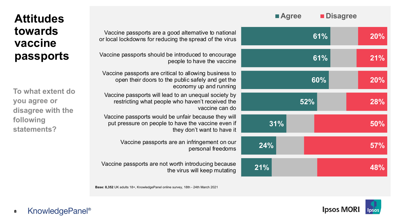| <b>Attitudes</b>                                                                   |                                                                                                                                         | <b>Agree</b> | <b>Disagree</b> |
|------------------------------------------------------------------------------------|-----------------------------------------------------------------------------------------------------------------------------------------|--------------|-----------------|
| towards<br>vaccine                                                                 | Vaccine passports are a good alternative to national<br>or local lockdowns for reducing the spread of the virus                         | 61%          | 20%             |
| passports                                                                          | Vaccine passports should be introduced to encourage<br>people to have the vaccine                                                       | 61%          | 21%             |
| To what extent do<br>you agree or<br>disagree with the<br>following<br>statements? | Vaccine passports are critical to allowing business to<br>open their doors to the public safely and get the<br>economy up and running   | 60%          | <b>20%</b>      |
|                                                                                    | Vaccine passports will lead to an unequal society by<br>restricting what people who haven't received the<br>vaccine can do              | 52%          | 28%             |
|                                                                                    | Vaccine passports would be unfair because they will<br>put pressure on people to have the vaccine even if<br>they don't want to have it | 31%          | 50%             |
|                                                                                    | Vaccine passports are an infringement on our<br>personal freedoms                                                                       | 24%          | <b>57%</b>      |
|                                                                                    | Vaccine passports are not worth introducing because<br>the virus will keep mutating                                                     | 21%          | 48%             |

**Base: 8,352** UK adults 18+, KnowledgePanel online survey, 18th - 24th March 2021

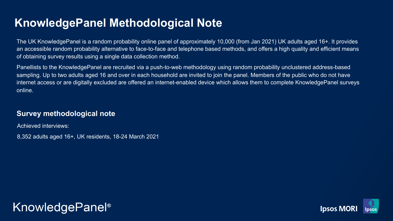#### **KnowledgePanel Methodological Note**

The UK KnowledgePanel is a random probability online panel of approximately 10,000 (from Jan 2021) UK adults aged 16+. It provides an accessible random probability alternative to face-to-face and telephone based methods, and offers a high quality and efficient means of obtaining survey results using a single data collection method.

Panellists to the KnowledgePanel are recruited via a push-to-web methodology using random probability unclustered address-based sampling. Up to two adults aged 16 and over in each household are invited to join the panel. Members of the public who do not have internet access or are digitally excluded are offered an internet-enabled device which allows them to complete KnowledgePanel surveys online.

#### **Survey methodological note**

Achieved interviews:

8,352 adults aged 16+, UK residents, 18-24 March 2021